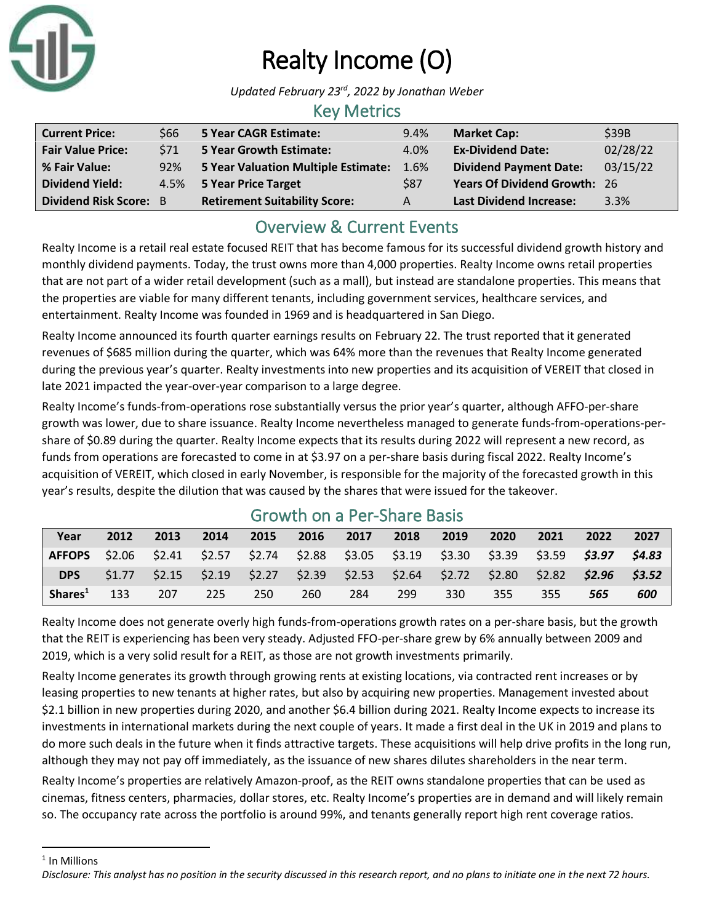

# Realty Income (O)

*Updated February 23rd, 2022 by Jonathan Weber*

### Key Metrics

| <b>Current Price:</b>         | \$66       | 5 Year CAGR Estimate:                | 9.4% | <b>Market Cap:</b>                  | \$39B    |
|-------------------------------|------------|--------------------------------------|------|-------------------------------------|----------|
| <b>Fair Value Price:</b>      | <b>S71</b> | <b>5 Year Growth Estimate:</b>       | 4.0% | <b>Ex-Dividend Date:</b>            | 02/28/22 |
| % Fair Value:                 | 92%        | 5 Year Valuation Multiple Estimate:  | 1.6% | <b>Dividend Payment Date:</b>       | 03/15/22 |
| <b>Dividend Yield:</b>        |            | 4.5% 5 Year Price Target             | \$87 | <b>Years Of Dividend Growth: 26</b> |          |
| <b>Dividend Risk Score: B</b> |            | <b>Retirement Suitability Score:</b> | А    | <b>Last Dividend Increase:</b>      | 3.3%     |

## Overview & Current Events

Realty Income is a retail real estate focused REIT that has become famous for its successful dividend growth history and monthly dividend payments. Today, the trust owns more than 4,000 properties. Realty Income owns retail properties that are not part of a wider retail development (such as a mall), but instead are standalone properties. This means that the properties are viable for many different tenants, including government services, healthcare services, and entertainment. Realty Income was founded in 1969 and is headquartered in San Diego.

Realty Income announced its fourth quarter earnings results on February 22. The trust reported that it generated revenues of \$685 million during the quarter, which was 64% more than the revenues that Realty Income generated during the previous year's quarter. Realty investments into new properties and its acquisition of VEREIT that closed in late 2021 impacted the year-over-year comparison to a large degree.

Realty Income's funds-from-operations rose substantially versus the prior year's quarter, although AFFO-per-share growth was lower, due to share issuance. Realty Income nevertheless managed to generate funds-from-operations-pershare of \$0.89 during the quarter. Realty Income expects that its results during 2022 will represent a new record, as funds from operations are forecasted to come in at \$3.97 on a per-share basis during fiscal 2022. Realty Income's acquisition of VEREIT, which closed in early November, is responsible for the majority of the forecasted growth in this year's results, despite the dilution that was caused by the shares that were issued for the takeover.

| Year                                                                                              | 2012 | 2013 | 2014 | 2015 | 2016 2017 |     | 2018 | 2019                                                                                    | 2020 | 2021 | 2022 | 2027 |
|---------------------------------------------------------------------------------------------------|------|------|------|------|-----------|-----|------|-----------------------------------------------------------------------------------------|------|------|------|------|
| AFFOPS \$2.06 \$2.41 \$2.57 \$2.74 \$2.88 \$3.05 \$3.19 \$3.30 \$3.39 \$3.59 <b>\$3.97 \$4.83</b> |      |      |      |      |           |     |      |                                                                                         |      |      |      |      |
|                                                                                                   |      |      |      |      |           |     |      | DPS \$1.77 \$2.15 \$2.19 \$2.27 \$2.39 \$2.53 \$2.64 \$2.72 \$2.80 \$2.82 \$2.96 \$3.52 |      |      |      |      |
| Shares <sup>1</sup>                                                                               | 133  | 207  | 225  | 250  | 260       | 284 | 299  | 330                                                                                     | 355  | 355  | 565  | 600  |

## Growth on a Per-Share Basis

Realty Income does not generate overly high funds-from-operations growth rates on a per-share basis, but the growth that the REIT is experiencing has been very steady. Adjusted FFO-per-share grew by 6% annually between 2009 and 2019, which is a very solid result for a REIT, as those are not growth investments primarily.

Realty Income generates its growth through growing rents at existing locations, via contracted rent increases or by leasing properties to new tenants at higher rates, but also by acquiring new properties. Management invested about \$2.1 billion in new properties during 2020, and another \$6.4 billion during 2021. Realty Income expects to increase its investments in international markets during the next couple of years. It made a first deal in the UK in 2019 and plans to do more such deals in the future when it finds attractive targets. These acquisitions will help drive profits in the long run, although they may not pay off immediately, as the issuance of new shares dilutes shareholders in the near term.

Realty Income's properties are relatively Amazon-proof, as the REIT owns standalone properties that can be used as cinemas, fitness centers, pharmacies, dollar stores, etc. Realty Income's properties are in demand and will likely remain so. The occupancy rate across the portfolio is around 99%, and tenants generally report high rent coverage ratios.

<sup>1</sup> In Millions

*Disclosure: This analyst has no position in the security discussed in this research report, and no plans to initiate one in the next 72 hours.*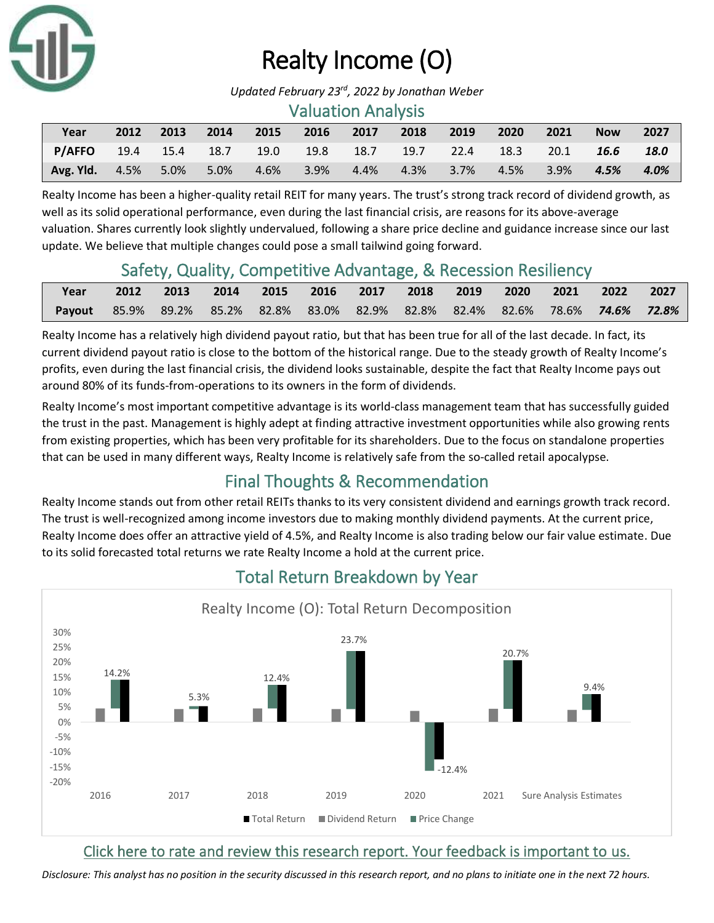

# Realty Income (O)

*Updated February 23rd, 2022 by Jonathan Weber*

#### Valuation Analysis

| Year                                           | 2012 | 2013 | $\sim$ 2014 | 2015       | 2016 2017 | 2018     | 2019      | 2020      | $-2021$ | <b>Now</b> | 2027 |
|------------------------------------------------|------|------|-------------|------------|-----------|----------|-----------|-----------|---------|------------|------|
| P/AFFO 19.4 15.4 18.7 19.0 19.8 18.7 19.7 22.4 |      |      |             |            |           |          |           | 18.3 20.1 |         | 16.6       | 18.0 |
| <b>Avg. Yld.</b> 4.5%                          |      | 5.0% | $-5.0\%$    | 4.6%  3.9% | $4.4\%$   | $-4.3\%$ | 3.7% 4.5% |           | $3.9\%$ | 4.5%       | 4.0% |

Realty Income has been a higher-quality retail REIT for many years. The trust's strong track record of dividend growth, as well as its solid operational performance, even during the last financial crisis, are reasons for its above-average valuation. Shares currently look slightly undervalued, following a share price decline and guidance increase since our last update. We believe that multiple changes could pose a small tailwind going forward.

## Safety, Quality, Competitive Advantage, & Recession Resiliency

| Year                                                                           |  |  | 2012 2013 2014 2015 2016 2017 2018 2019 2020 2021 2022 2027 |  |  |  |  |
|--------------------------------------------------------------------------------|--|--|-------------------------------------------------------------|--|--|--|--|
| Payout 85.9% 89.2% 85.2% 82.8% 83.0% 82.9% 82.8% 82.4% 82.6% 78.6% 74.6% 72.8% |  |  |                                                             |  |  |  |  |

Realty Income has a relatively high dividend payout ratio, but that has been true for all of the last decade. In fact, its current dividend payout ratio is close to the bottom of the historical range. Due to the steady growth of Realty Income's profits, even during the last financial crisis, the dividend looks sustainable, despite the fact that Realty Income pays out around 80% of its funds-from-operations to its owners in the form of dividends.

Realty Income's most important competitive advantage is its world-class management team that has successfully guided the trust in the past. Management is highly adept at finding attractive investment opportunities while also growing rents from existing properties, which has been very profitable for its shareholders. Due to the focus on standalone properties that can be used in many different ways, Realty Income is relatively safe from the so-called retail apocalypse.

## Final Thoughts & Recommendation

Realty Income stands out from other retail REITs thanks to its very consistent dividend and earnings growth track record. The trust is well-recognized among income investors due to making monthly dividend payments. At the current price, Realty Income does offer an attractive yield of 4.5%, and Realty Income is also trading below our fair value estimate. Due to its solid forecasted total returns we rate Realty Income a hold at the current price.



## Total Return Breakdown by Year

## [Click here to rate and review this research report. Your feedback is important to us.](https://suredividend.typeform.com/to/ScKeFu)

*Disclosure: This analyst has no position in the security discussed in this research report, and no plans to initiate one in the next 72 hours.*